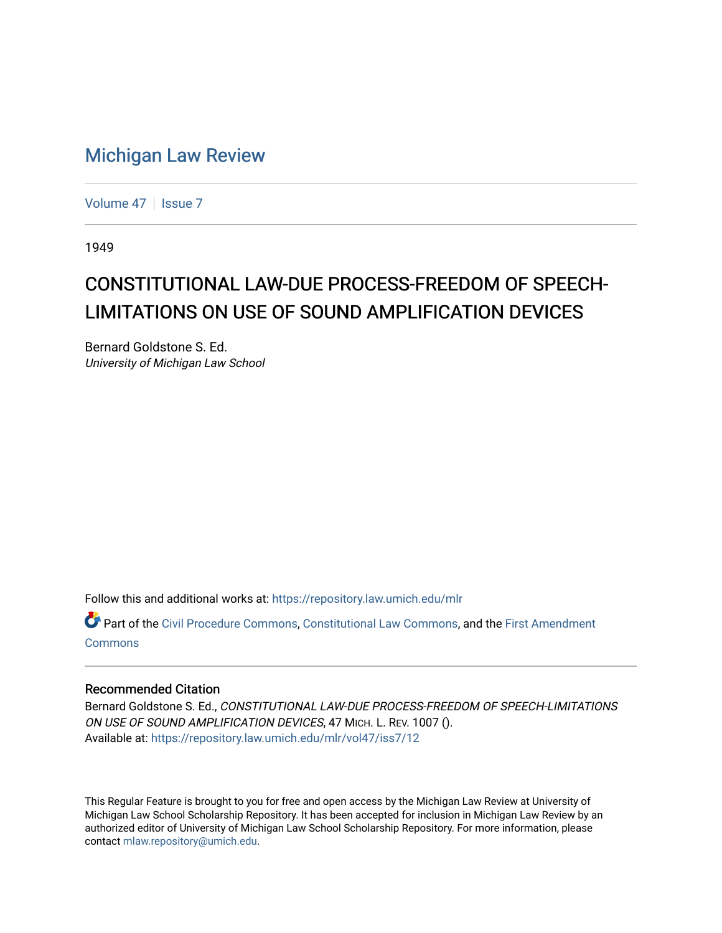## [Michigan Law Review](https://repository.law.umich.edu/mlr)

[Volume 47](https://repository.law.umich.edu/mlr/vol47) | [Issue 7](https://repository.law.umich.edu/mlr/vol47/iss7)

1949

## CONSTITUTIONAL LAW-DUE PROCESS-FREEDOM OF SPEECH-LIMITATIONS ON USE OF SOUND AMPLIFICATION DEVICES

Bernard Goldstone S. Ed. University of Michigan Law School

Follow this and additional works at: [https://repository.law.umich.edu/mlr](https://repository.law.umich.edu/mlr?utm_source=repository.law.umich.edu%2Fmlr%2Fvol47%2Fiss7%2F12&utm_medium=PDF&utm_campaign=PDFCoverPages) 

Part of the [Civil Procedure Commons,](http://network.bepress.com/hgg/discipline/584?utm_source=repository.law.umich.edu%2Fmlr%2Fvol47%2Fiss7%2F12&utm_medium=PDF&utm_campaign=PDFCoverPages) [Constitutional Law Commons](http://network.bepress.com/hgg/discipline/589?utm_source=repository.law.umich.edu%2Fmlr%2Fvol47%2Fiss7%2F12&utm_medium=PDF&utm_campaign=PDFCoverPages), and the [First Amendment](http://network.bepress.com/hgg/discipline/1115?utm_source=repository.law.umich.edu%2Fmlr%2Fvol47%2Fiss7%2F12&utm_medium=PDF&utm_campaign=PDFCoverPages) [Commons](http://network.bepress.com/hgg/discipline/1115?utm_source=repository.law.umich.edu%2Fmlr%2Fvol47%2Fiss7%2F12&utm_medium=PDF&utm_campaign=PDFCoverPages)

## Recommended Citation

Bernard Goldstone S. Ed., CONSTITUTIONAL LAW-DUE PROCESS-FREEDOM OF SPEECH-LIMITATIONS ON USE OF SOUND AMPLIFICATION DEVICES, 47 MICH. L. REV. 1007 (). Available at: [https://repository.law.umich.edu/mlr/vol47/iss7/12](https://repository.law.umich.edu/mlr/vol47/iss7/12?utm_source=repository.law.umich.edu%2Fmlr%2Fvol47%2Fiss7%2F12&utm_medium=PDF&utm_campaign=PDFCoverPages) 

This Regular Feature is brought to you for free and open access by the Michigan Law Review at University of Michigan Law School Scholarship Repository. It has been accepted for inclusion in Michigan Law Review by an authorized editor of University of Michigan Law School Scholarship Repository. For more information, please contact [mlaw.repository@umich.edu](mailto:mlaw.repository@umich.edu).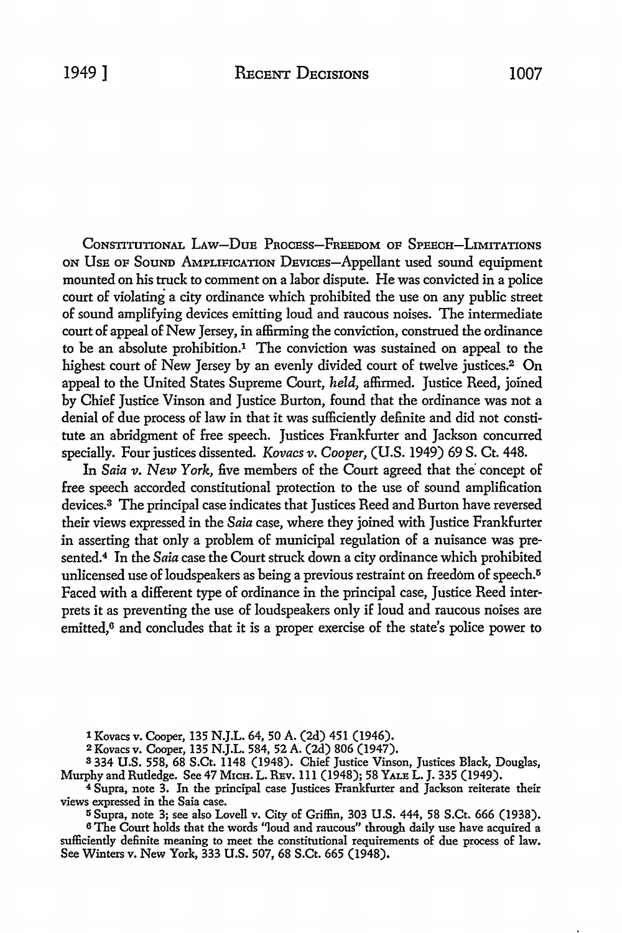CONSTITUTIONAL LAW-DUE PROCESS-FREEDOM OF SPEECH-LIMITATIONS ON UsE OF SouND AMPLIFICATION DEVICES-Appellant used sound equipment mounted on his truck to comment on a labor dispute. He was convicted in a police court of violating a city ordinance which prohibited the use on any public street of sound amplifying devices emitting loud and raucous noises. The intermediate court of appeal of New Jersey, in affirming the conviction, construed the ordinance to be an absolute prohibition.1 The conviction was sustained on appeal to the highest court of New Jersey by an evenly divided court of twelve justices.2 **On**  appeal to the United States Supreme Court, *held,* affirmed. Justice Reed, jofned by Chief Justice Vinson and Justice Burton, found that the ordinance was not a denial of due process of law in that it was sufficiently definite and did not constitute an abridgment of free speech. Justices Frankfurter and Jackson concurred specially. Four justices dissented. *Kovacs v. Cooper,* (U.S. 1949) 69 S. Ct. 448.

In *Saia v. New York*, five members of the Court agreed that the concept of free speech accorded constitutional protection to the use of sound amplification devices.3 The principal case indicates that Justices Reed and Burton have reversed their views expressed in the *Saia* case, where they joined with Justice Frankfurter in asserting that only a problem of municipal regulation of a nuisance was presented.<sup>4</sup> In the *Saia* case the Court struck down a city ordinance which prohibited unlicensed use of loudspeakers as being a previous restraint on freedom of speech.<sup>5</sup> Faced with a different type of ordinance in the principal case, Justice Reed interprets it as preventing the use of loudspeakers only if loud and raucous noises are emitted,<sup>6</sup> and concludes that it is a proper exercise of the state's police power to

l Kovacs v. Cooper, 135 N.J.L. 64, 50 A. (2d) 451 (1946).

<sup>2</sup>Kovacs v. Cooper, 135 N.J.L. 584, 52 A. (2d) 806 (1947).

3 334 U.S. 558, 68 S.Ct. 1148 (1948). Chief Justice Vinson, Justices Black, Douglas, Murphy and Rutledge. See 47 MrcH. L. REv. 111 (1948); 58 YALE L. J. 335 (1949).

<sup>4</sup> Supra, note 3. In the principal case Justices Frankfurter and Jackson reiterate their views expressed in the Saia case.

5 Supra, note 3; see also Lovell v. City of Griffin, 303 U.S. 444, 58 S.Ct. 666 (1938).

<sup>6</sup>The Court holds that the words "loud and raucous" through daily use have acquired a sufficiently definite meaning to meet the constitutional requirements of due process of law. See Winters v. New York, 333 U.S. 507, 68 S.Ct. 665 (1948).